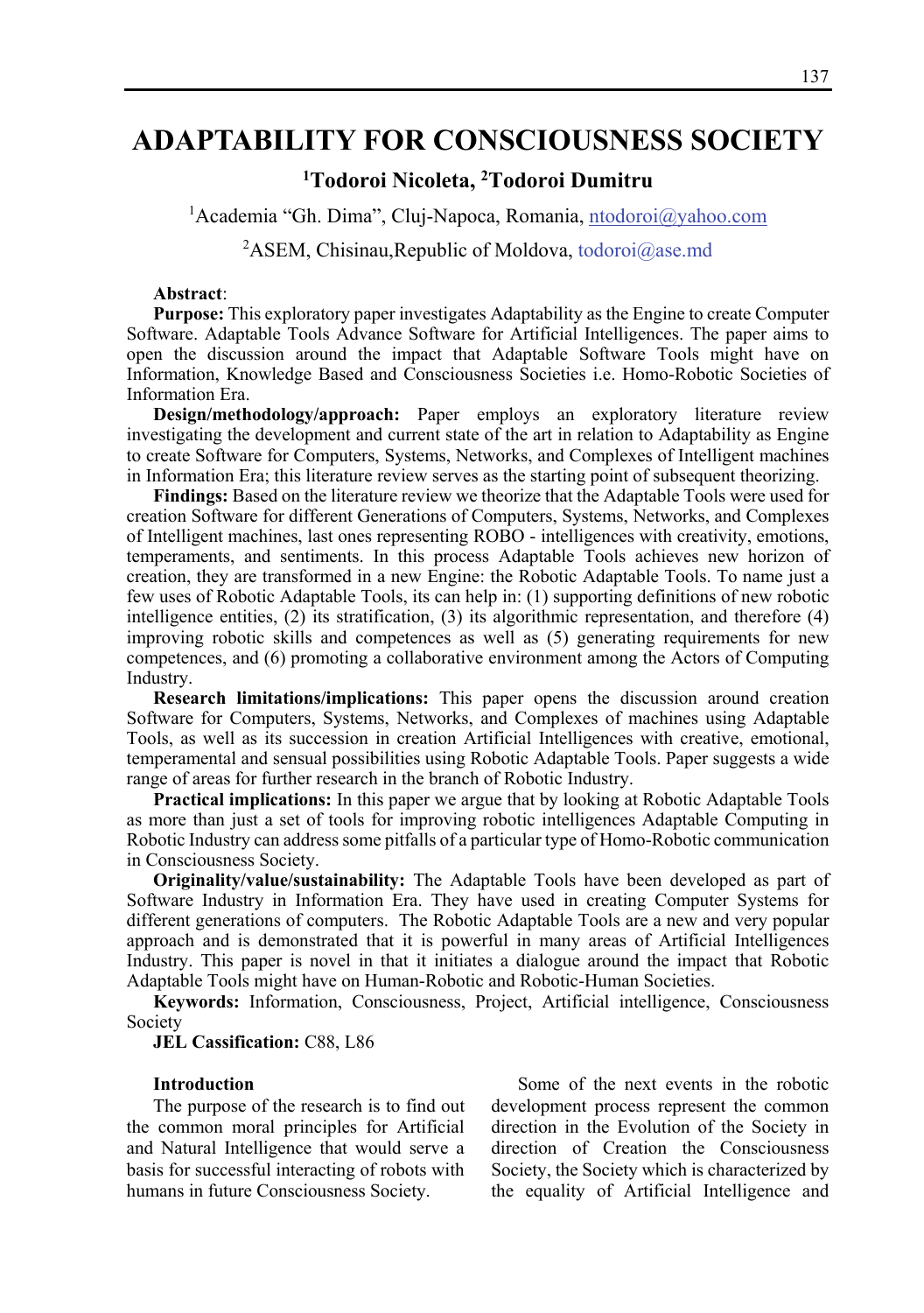# **ADAPTABILITY FOR CONSCIOUSNESS SOCIETY**

## **1 Todoroi Nicoleta, 2 Todoroi Dumitru**

<sup>1</sup> Academia "Gh. Dima", Cluj-Napoca, Romania, ntodoroi@yahoo.com

<sup>2</sup>ASEM, Chisinau, Republic of Moldova, todoroi $@$ ase.md

#### **Abstract**:

**Purpose:** This exploratory paper investigates Adaptability as the Engine to create Computer Software. Adaptable Tools Advance Software for Artificial Intelligences. The paper aims to open the discussion around the impact that Adaptable Software Tools might have on Information, Knowledge Based and Consciousness Societies i.e. Homo-Robotic Societies of Information Era.

**Design/methodology/approach:** Paper employs an exploratory literature review investigating the development and current state of the art in relation to Adaptability as Engine to create Software for Computers, Systems, Networks, and Complexes of Intelligent machines in Information Era; this literature review serves as the starting point of subsequent theorizing.

**Findings:** Based on the literature review we theorize that the Adaptable Tools were used for creation Software for different Generations of Computers, Systems, Networks, and Complexes of Intelligent machines, last ones representing ROBO - intelligences with creativity, emotions, temperaments, and sentiments. In this process Adaptable Tools achieves new horizon of creation, they are transformed in a new Engine: the Robotic Adaptable Tools. To name just a few uses of Robotic Adaptable Tools, its can help in: (1) supporting definitions of new robotic intelligence entities, (2) its stratification, (3) its algorithmic representation, and therefore (4) improving robotic skills and competences as well as (5) generating requirements for new competences, and (6) promoting a collaborative environment among the Actors of Computing Industry.

**Research limitations/implications:** This paper opens the discussion around creation Software for Computers, Systems, Networks, and Complexes of machines using Adaptable Tools, as well as its succession in creation Artificial Intelligences with creative, emotional, temperamental and sensual possibilities using Robotic Adaptable Tools. Paper suggests a wide range of areas for further research in the branch of Robotic Industry.

**Practical implications:** In this paper we argue that by looking at Robotic Adaptable Tools as more than just a set of tools for improving robotic intelligences Adaptable Computing in Robotic Industry can address some pitfalls of a particular type of Homo-Robotic communication in Consciousness Society.

**Originality/value/sustainability:** The Adaptable Tools have been developed as part of Software Industry in Information Era. They have used in creating Computer Systems for different generations of computers. The Robotic Adaptable Tools are a new and very popular approach and is demonstrated that it is powerful in many areas of Artificial Intelligences Industry. This paper is novel in that it initiates a dialogue around the impact that Robotic Adaptable Tools might have on Human-Robotic and Robotic-Human Societies.

**Keywords:** Information, Consciousness, Project, Artificial intelligence, Consciousness Society

#### **JEL Cassification:** C88, L86

#### **Introduction**

The purpose of the research is to find out the common moral principles for Artificial and Natural Intelligence that would serve a basis for successful interacting of robots with humans in future Consciousness Society.

Some of the next events in the robotic development process represent the common direction in the Evolution of the Society in direction of Creation the Consciousness Society, the Society which is characterized by the equality of Artificial Intelligence and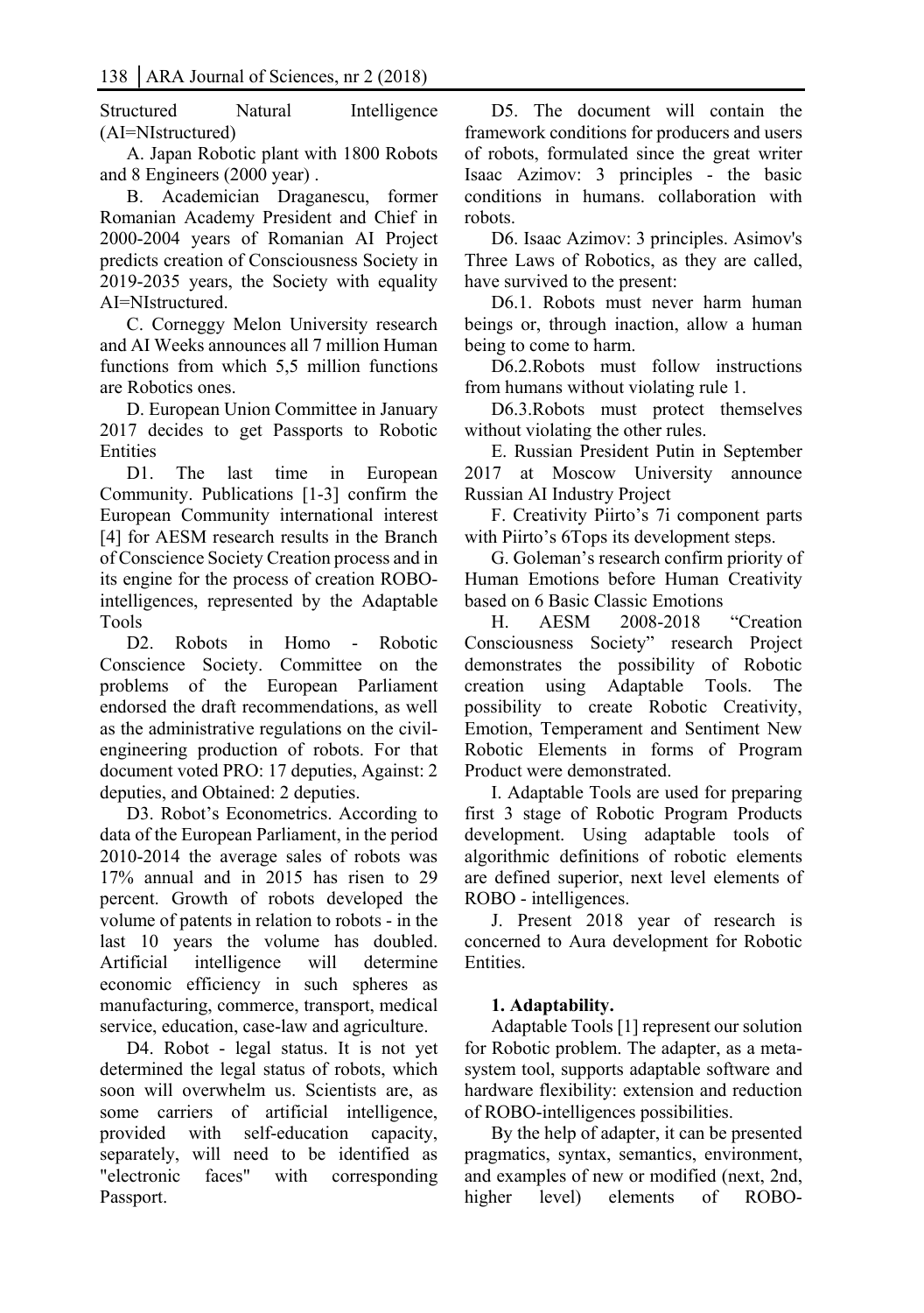Structured Natural Intelligence (AI=NIstructured)

A. Japan Robotic plant with 1800 Robots and 8 Engineers (2000 year) .

B. Academician Draganescu, former Romanian Academy President and Chief in 2000-2004 years of Romanian AI Project predicts creation of Consciousness Society in 2019-2035 years, the Society with equality AI=NIstructured.

C. Corneggy Melon University research and AI Weeks announces all 7 million Human functions from which 5.5 million functions are Robotics ones.

D. European Union Committee in January 2017 decides to get Passports to Robotic **Entities** 

D1. The last time in European Community. Publications [1-3] confirm the European Community international interest [4] for AESM research results in the Branch of Conscience Society Creation process and in its engine for the process of creation ROBOintelligences, represented by the Adaptable Tools

D2. Robots in Homo - Robotic Conscience Society. Committee on the problems of the European Parliament endorsed the draft recommendations, as well as the administrative regulations on the civilengineering production of robots. For that document voted PRO: 17 deputies, Against: 2 deputies, and Obtained: 2 deputies.

D3. Robot's Econometrics. According to data of the European Parliament, in the period 2010-2014 the average sales of robots was 17% annual and in 2015 has risen to 29 percent. Growth of robots developed the volume of patents in relation to robots - in the last 10 years the volume has doubled. Artificial intelligence will determine economic efficiency in such spheres as manufacturing, commerce, transport, medical service, education, case-law and agriculture.

D4. Robot - legal status. It is not yet determined the legal status of robots, which soon will overwhelm us. Scientists are, as some carriers of artificial intelligence, provided with self-education capacity, separately, will need to be identified as "electronic faces" with corresponding Passport.

D5. The document will contain the framework conditions for producers and users of robots, formulated since the great writer Isaac Azimov: 3 principles - the basic conditions in humans. collaboration with robots.

D6. Isaac Azimov: 3 principles. Asimov's Three Laws of Robotics, as they are called, have survived to the present:

D6.1. Robots must never harm human beings or, through inaction, allow a human being to come to harm.

D6.2.Robots must follow instructions from humans without violating rule 1.

D6.3.Robots must protect themselves without violating the other rules.

E. Russian President Putin in September 2017 at Moscow University announce Russian AI Industry Project

F. Creativity Piirto's 7i component parts with Piirto's 6Tops its development steps.

G. Goleman's research confirm priority of Human Emotions before Human Creativity based on 6 Basic Classic Emotions

H. AESM 2008-2018 "Creation Consciousness Society" research Project demonstrates the possibility of Robotic creation using Adaptable Tools. The possibility to create Robotic Creativity, Emotion, Temperament and Sentiment New Robotic Elements in forms of Program Product were demonstrated.

I. Adaptable Tools are used for preparing first 3 stage of Robotic Program Products development. Using adaptable tools of algorithmic definitions of robotic elements are defined superior, next level elements of ROBO - intelligences.

J. Present 2018 year of research is concerned to Aura development for Robotic Entities.

## **1. Adaptability.**

Adaptable Tools [1] represent our solution for Robotic problem. The adapter, as a metasystem tool, supports adaptable software and hardware flexibility: extension and reduction of ROBO-intelligences possibilities.

By the help of adapter, it can be presented pragmatics, syntax, semantics, environment, and examples of new or modified (next, 2nd, higher level) elements of ROBO-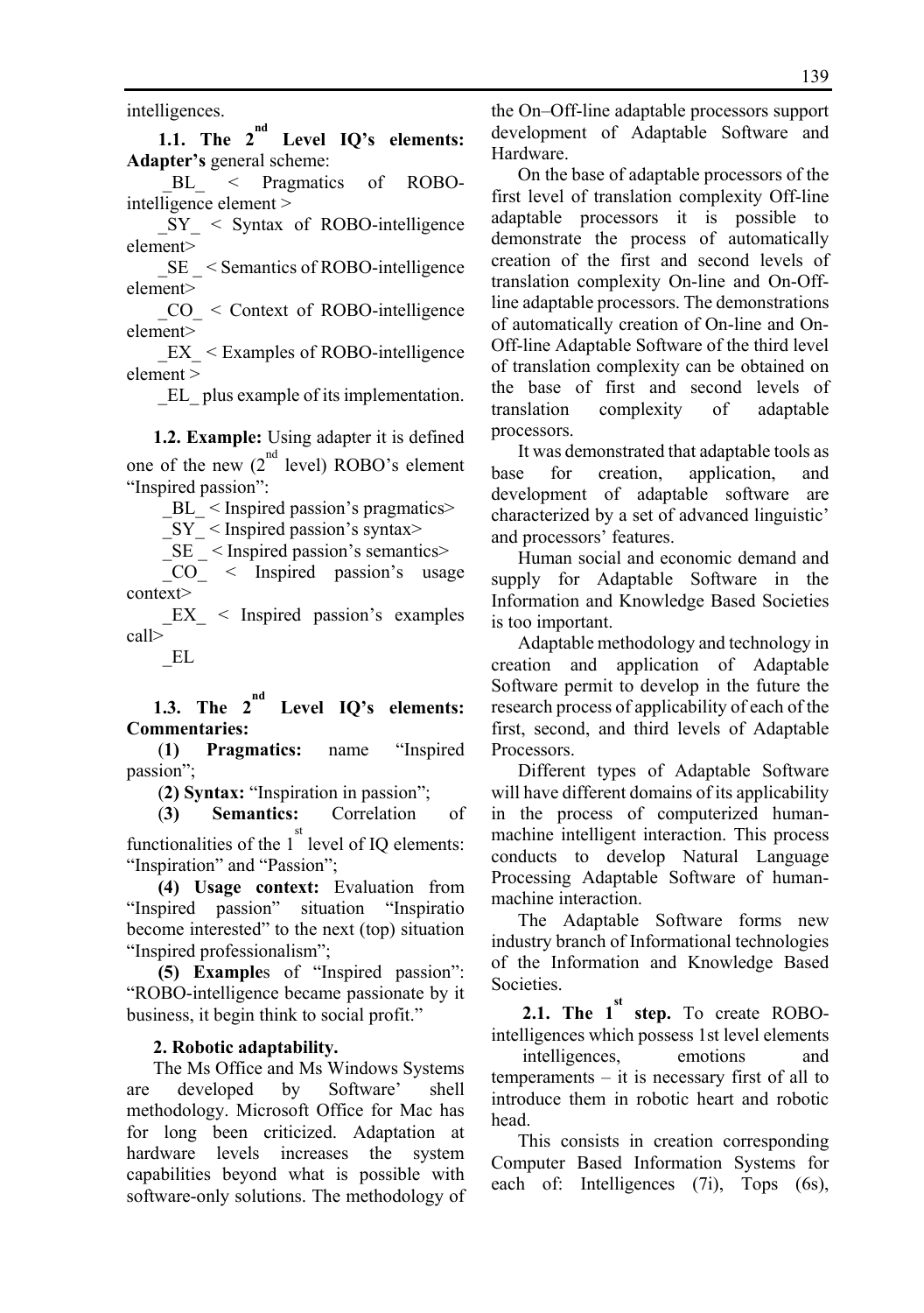intelligences.

**1.1. The 2nd Level IQ's elements: Adapter's** general scheme:

BL < Pragmatics of ROBOintelligence element >

 $SY \leq$  Syntax of ROBO-intelligence element>

SE < Semantics of ROBO-intelligence element>

 $CO \leq$  Context of ROBO-intelligence element>

 $EX <$  Examples of ROBO-intelligence element >

\_EL\_ plus example of its implementation.

**1.2. Example:** Using adapter it is defined one of the new  $(2^{nd}$  level) ROBO's element "Inspired passion":

BL  $\leq$  Inspired passion's pragmatics>

 $SY \leq$  Inspired passion's syntax>

 $SE$  < Inspired passion's semantics>

 \_CO\_ < Inspired passion's usage context>

 $EX \leq$  Inspired passion's examples call>

\_EL

**1.3. The 2nd Level IQ's elements: Commentaries:** 

 (**1) Pragmatics:** name "Inspired passion";

(**2) Syntax:** "Inspiration in passion";

(**3) Semantics:** Correlation of

functionalities of the  $1<sup>st</sup>$  level of IQ elements: "Inspiration" and "Passion";

 **(4) Usage context:** Evaluation from "Inspired passion" situation "Inspiratio become interested" to the next (top) situation "Inspired professionalism";

 **(5) Example**s of "Inspired passion": "ROBO-intelligence became passionate by it business, it begin think to social profit."

#### **2. Robotic adaptability.**

The Ms Office and Ms Windows Systems are developed by Software' shell methodology. Microsoft Office for Mac has for long been criticized. Adaptation at hardware levels increases the system capabilities beyond what is possible with software-only solutions. The methodology of

the On–Off-line adaptable processors support development of Adaptable Software and Hardware.

On the base of adaptable processors of the first level of translation complexity Off-line adaptable processors it is possible to demonstrate the process of automatically creation of the first and second levels of translation complexity On-line and On-Offline adaptable processors. The demonstrations of automatically creation of On-line and On-Off-line Adaptable Software of the third level of translation complexity can be obtained on the base of first and second levels of translation complexity of adaptable processors.

It was demonstrated that adaptable tools as base for creation, application, and development of adaptable software are characterized by a set of advanced linguistic' and processors' features.

Human social and economic demand and supply for Adaptable Software in the Information and Knowledge Based Societies is too important.

Adaptable methodology and technology in creation and application of Adaptable Software permit to develop in the future the research process of applicability of each of the first, second, and third levels of Adaptable Processors.

Different types of Adaptable Software will have different domains of its applicability in the process of computerized humanmachine intelligent interaction. This process conducts to develop Natural Language Processing Adaptable Software of humanmachine interaction.

The Adaptable Software forms new industry branch of Informational technologies of the Information and Knowledge Based Societies.

**2.1.** The 1<sup>st</sup> step. To create ROBOintelligences which possess 1st level elements

 intelligences, emotions and temperaments – it is necessary first of all to introduce them in robotic heart and robotic head.

This consists in creation corresponding Computer Based Information Systems for each of: Intelligences (7i), Tops (6s),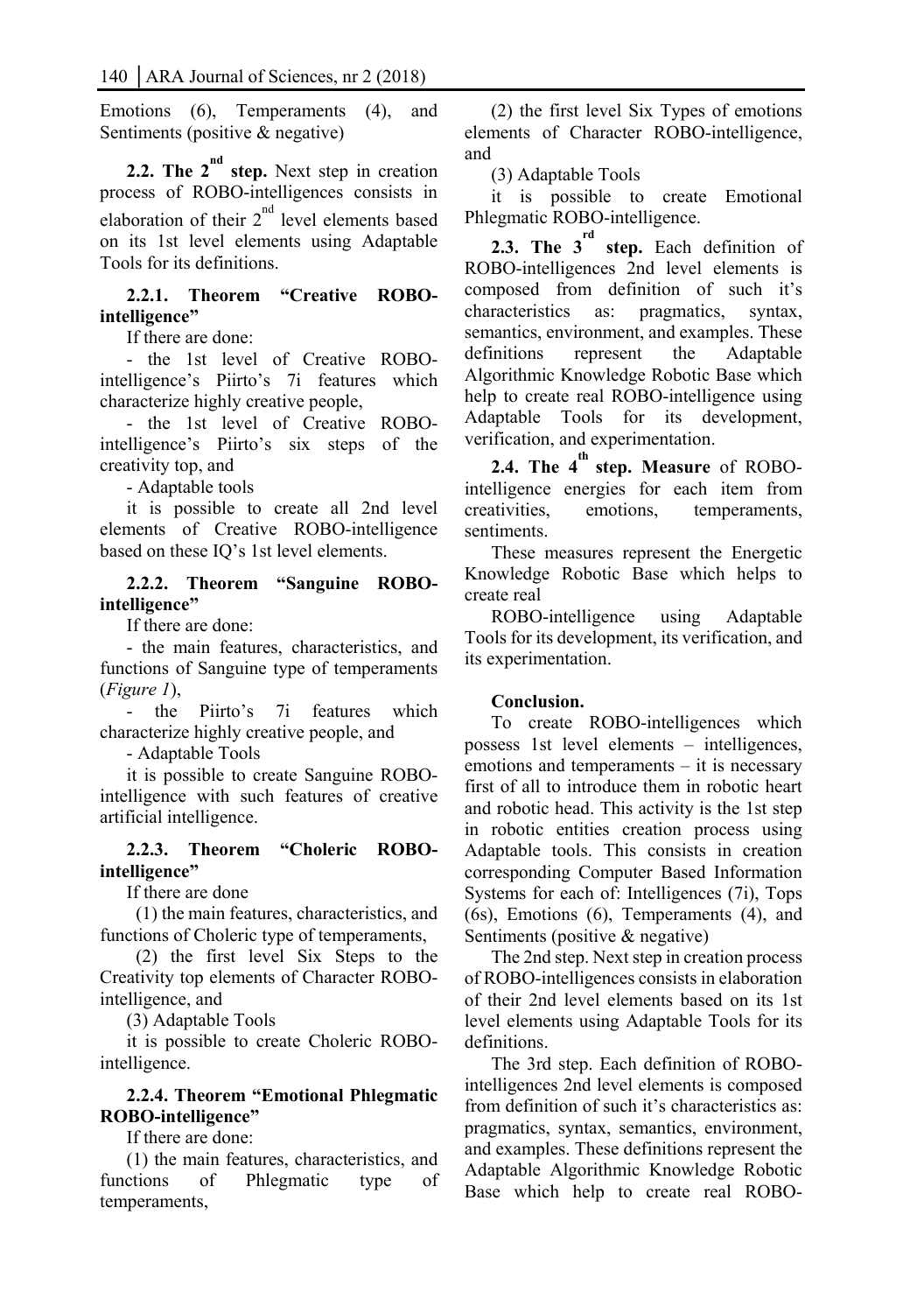Emotions (6), Temperaments (4), and Sentiments (positive & negative)

**2.2. The 2<sup>nd</sup> step.** Next step in creation process of ROBO-intelligences consists in elaboration of their  $2^{nd}$  level elements based on its 1st level elements using Adaptable Tools for its definitions.

## **2.2.1. Theorem "Creative ROBOintelligence"**

If there are done:

- the 1st level of Creative ROBOintelligence's Piirto's 7i features which characterize highly creative people,

- the 1st level of Creative ROBOintelligence's Piirto's six steps of the creativity top, and

- Adaptable tools

it is possible to create all 2nd level elements of Creative ROBO-intelligence based on these IQ's 1st level elements.

## **2.2.2. Theorem "Sanguine ROBOintelligence"**

If there are done:

- the main features, characteristics, and functions of Sanguine type of temperaments (*Figure 1*),

- the Piirto's 7i features which characterize highly creative people, and

- Adaptable Tools

it is possible to create Sanguine ROBOintelligence with such features of creative artificial intelligence.

## **2.2.3. Theorem "Choleric ROBOintelligence"**

If there are done

 (1) the main features, characteristics, and functions of Choleric type of temperaments,

 (2) the first level Six Steps to the Creativity top elements of Character ROBOintelligence, and

(3) Adaptable Tools

it is possible to create Choleric ROBOintelligence.

## **2.2.4. Theorem "Emotional Phlegmatic ROBO-intelligence"**

If there are done:

(1) the main features, characteristics, and functions of Phlegmatic type of temperaments,

(2) the first level Six Types of emotions elements of Character ROBO-intelligence, and

(3) Adaptable Tools

it is possible to create Emotional Phlegmatic ROBO-intelligence.

**2.3. The 3<sup>rd</sup> step.** Each definition of ROBO-intelligences 2nd level elements is composed from definition of such it's characteristics as: pragmatics, syntax, semantics, environment, and examples. These definitions represent the Adaptable Algorithmic Knowledge Robotic Base which help to create real ROBO-intelligence using Adaptable Tools for its development, verification, and experimentation.

**2.4. The 4th step. Measure** of ROBOintelligence energies for each item from creativities, emotions, temperaments, sentiments.

These measures represent the Energetic Knowledge Robotic Base which helps to create real

ROBO-intelligence using Adaptable Tools for its development, its verification, and its experimentation.

## **Conclusion.**

To create ROBO-intelligences which possess 1st level elements – intelligences, emotions and temperaments – it is necessary first of all to introduce them in robotic heart and robotic head. This activity is the 1st step in robotic entities creation process using Adaptable tools. This consists in creation corresponding Computer Based Information Systems for each of: Intelligences (7i), Tops (6s), Emotions (6), Temperaments (4), and Sentiments (positive & negative)

The 2nd step. Next step in creation process of ROBO-intelligences consists in elaboration of their 2nd level elements based on its 1st level elements using Adaptable Tools for its definitions.

The 3rd step. Each definition of ROBOintelligences 2nd level elements is composed from definition of such it's characteristics as: pragmatics, syntax, semantics, environment, and examples. These definitions represent the Adaptable Algorithmic Knowledge Robotic Base which help to create real ROBO-